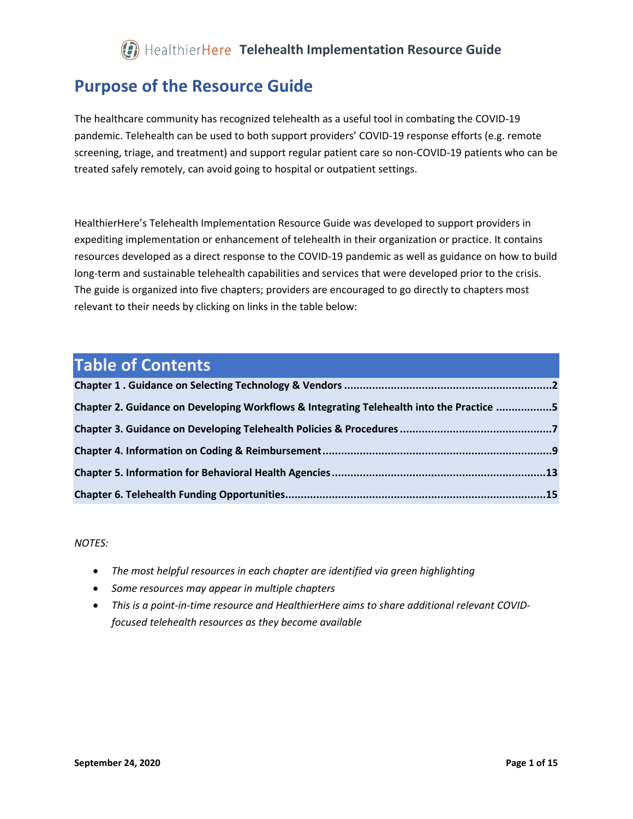#### **Purpose of the Resource Guide**

The healthcare community has recognized telehealth as a useful tool in combating the COVID-19 pandemic. Telehealth can be used to both support providers' COVID-19 response efforts (e.g. remote screening, triage, and treatment) and support regular patient care so non-COVID-19 patients who can be treated safely remotely, can avoid going to hospital or outpatient settings.

HealthierHere's Telehealth Implementation Resource Guide was developed to support providers in expediting implementation or enhancement of telehealth in their organization or practice. It contains resources developed as a direct response to the COVID-19 pandemic as well as guidance on how to build long-term and sustainable telehealth capabilities and services that were developed prior to the crisis. The guide is organized into five chapters; providers are encouraged to go directly to chapters most relevant to their needs by clicking on links in the table below:

#### **Table of Contents**

| Chapter 2. Guidance on Developing Workflows & Integrating Telehealth into the Practice 5 |  |
|------------------------------------------------------------------------------------------|--|
|                                                                                          |  |
|                                                                                          |  |
|                                                                                          |  |
|                                                                                          |  |

*NOTES:*

- *The most helpful resources in each chapter are identified via green highlighting*
- *Some resources may appear in multiple chapters*
- *This is a point-in-time resource and HealthierHere aims to share additional relevant COVIDfocused telehealth resources as they become available*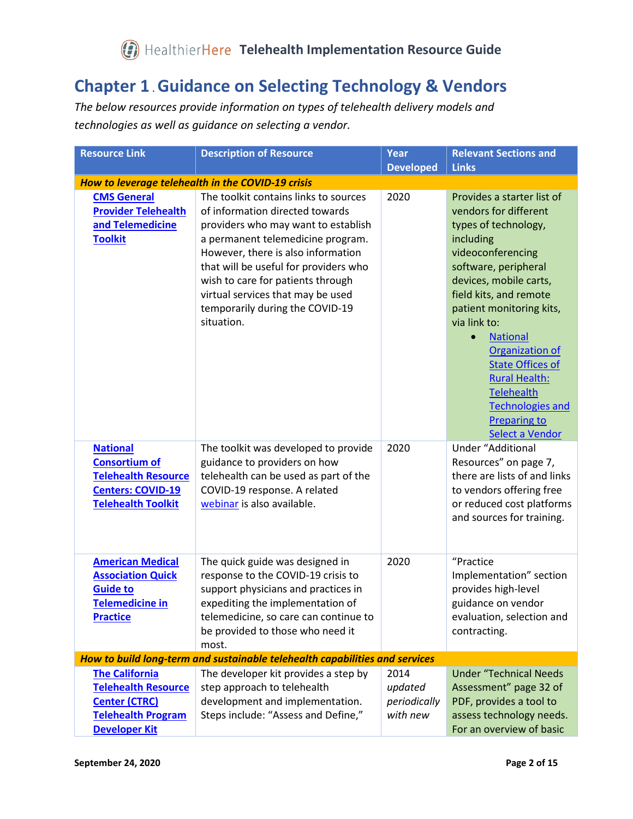#### <span id="page-1-0"></span>**Chapter 1** . **Guidance on Selecting Technology & Vendors**

*The below resources provide information on types of telehealth delivery models and technologies as well as guidance on selecting a vendor.* 

| <b>Resource Link</b>                                                                                                             | <b>Description of Resource</b>                                                                                                                                                                                                                                                                                                                                 | Year                                        | <b>Relevant Sections and</b>                                                                                                                                                                                                                                                                                                                                                                                                          |
|----------------------------------------------------------------------------------------------------------------------------------|----------------------------------------------------------------------------------------------------------------------------------------------------------------------------------------------------------------------------------------------------------------------------------------------------------------------------------------------------------------|---------------------------------------------|---------------------------------------------------------------------------------------------------------------------------------------------------------------------------------------------------------------------------------------------------------------------------------------------------------------------------------------------------------------------------------------------------------------------------------------|
|                                                                                                                                  |                                                                                                                                                                                                                                                                                                                                                                | <b>Developed</b>                            | <b>Links</b>                                                                                                                                                                                                                                                                                                                                                                                                                          |
|                                                                                                                                  | How to leverage telehealth in the COVID-19 crisis                                                                                                                                                                                                                                                                                                              |                                             |                                                                                                                                                                                                                                                                                                                                                                                                                                       |
| <b>CMS General</b><br><b>Provider Telehealth</b><br>and Telemedicine<br><b>Toolkit</b>                                           | The toolkit contains links to sources<br>of information directed towards<br>providers who may want to establish<br>a permanent telemedicine program.<br>However, there is also information<br>that will be useful for providers who<br>wish to care for patients through<br>virtual services that may be used<br>temporarily during the COVID-19<br>situation. | 2020                                        | Provides a starter list of<br>vendors for different<br>types of technology,<br>including<br>videoconferencing<br>software, peripheral<br>devices, mobile carts,<br>field kits, and remote<br>patient monitoring kits,<br>via link to:<br><b>National</b><br>$\bullet$<br>Organization of<br><b>State Offices of</b><br><b>Rural Health:</b><br><b>Telehealth</b><br><b>Technologies and</b><br><b>Preparing to</b><br>Select a Vendor |
| <b>National</b><br><b>Consortium of</b><br><b>Telehealth Resource</b><br><b>Centers: COVID-19</b><br><b>Telehealth Toolkit</b>   | The toolkit was developed to provide<br>guidance to providers on how<br>telehealth can be used as part of the<br>COVID-19 response. A related<br>webinar is also available.                                                                                                                                                                                    | 2020                                        | <b>Under "Additional</b><br>Resources" on page 7,<br>there are lists of and links<br>to vendors offering free<br>or reduced cost platforms<br>and sources for training.                                                                                                                                                                                                                                                               |
| <b>American Medical</b><br><b>Association Quick</b><br><b>Guide to</b><br><b>Telemedicine in</b><br><b>Practice</b>              | The quick guide was designed in<br>response to the COVID-19 crisis to<br>support physicians and practices in<br>expediting the implementation of<br>telemedicine, so care can continue to<br>be provided to those who need it<br>most.                                                                                                                         | 2020                                        | "Practice<br>Implementation" section<br>provides high-level<br>guidance on vendor<br>evaluation, selection and<br>contracting.                                                                                                                                                                                                                                                                                                        |
|                                                                                                                                  | How to build long-term and sustainable telehealth capabilities and services                                                                                                                                                                                                                                                                                    |                                             |                                                                                                                                                                                                                                                                                                                                                                                                                                       |
| <b>The California</b><br><b>Telehealth Resource</b><br><b>Center (CTRC)</b><br><b>Telehealth Program</b><br><b>Developer Kit</b> | The developer kit provides a step by<br>step approach to telehealth<br>development and implementation.<br>Steps include: "Assess and Define,"                                                                                                                                                                                                                  | 2014<br>updated<br>periodically<br>with new | <b>Under "Technical Needs</b><br>Assessment" page 32 of<br>PDF, provides a tool to<br>assess technology needs.<br>For an overview of basic                                                                                                                                                                                                                                                                                            |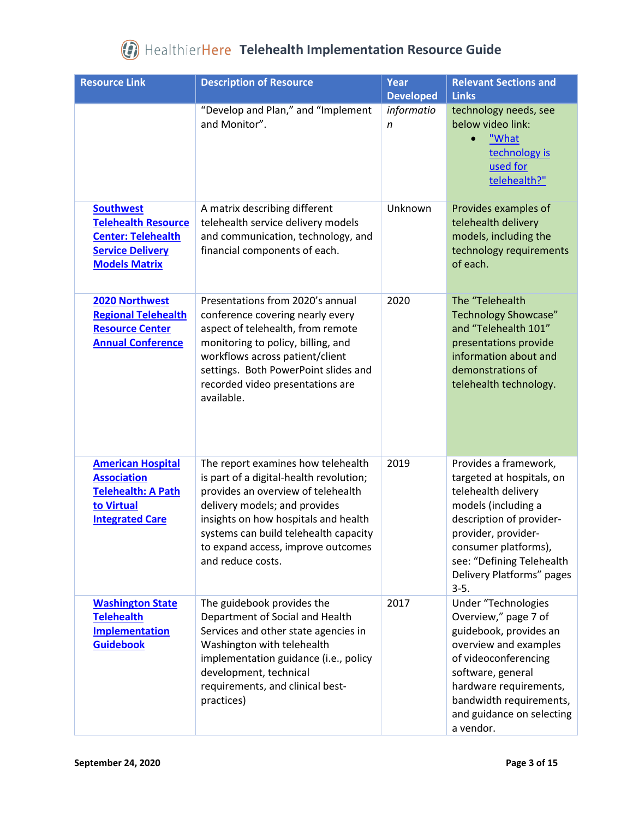| <b>Resource Link</b>                                                                                                           | <b>Description of Resource</b>                                                                                                                                                                                                                                                                   | Year<br><b>Developed</b> | <b>Relevant Sections and</b><br><b>Links</b>                                                                                                                                                                                                    |
|--------------------------------------------------------------------------------------------------------------------------------|--------------------------------------------------------------------------------------------------------------------------------------------------------------------------------------------------------------------------------------------------------------------------------------------------|--------------------------|-------------------------------------------------------------------------------------------------------------------------------------------------------------------------------------------------------------------------------------------------|
|                                                                                                                                | "Develop and Plan," and "Implement<br>and Monitor".                                                                                                                                                                                                                                              | informatio<br>n          | technology needs, see<br>below video link:<br>"What<br>technology is<br>used for<br>telehealth?"                                                                                                                                                |
| <b>Southwest</b><br><b>Telehealth Resource</b><br><b>Center: Telehealth</b><br><b>Service Delivery</b><br><b>Models Matrix</b> | A matrix describing different<br>telehealth service delivery models<br>and communication, technology, and<br>financial components of each.                                                                                                                                                       | Unknown                  | Provides examples of<br>telehealth delivery<br>models, including the<br>technology requirements<br>of each.                                                                                                                                     |
| 2020 Northwest<br><b>Regional Telehealth</b><br><b>Resource Center</b><br><b>Annual Conference</b>                             | Presentations from 2020's annual<br>conference covering nearly every<br>aspect of telehealth, from remote<br>monitoring to policy, billing, and<br>workflows across patient/client<br>settings. Both PowerPoint slides and<br>recorded video presentations are<br>available.                     | 2020                     | The "Telehealth<br><b>Technology Showcase"</b><br>and "Telehealth 101"<br>presentations provide<br>information about and<br>demonstrations of<br>telehealth technology.                                                                         |
| <b>American Hospital</b><br><b>Association</b><br><b>Telehealth: A Path</b><br>to Virtual<br><b>Integrated Care</b>            | The report examines how telehealth<br>is part of a digital-health revolution;<br>provides an overview of telehealth<br>delivery models; and provides<br>insights on how hospitals and health<br>systems can build telehealth capacity<br>to expand access, improve outcomes<br>and reduce costs. | 2019                     | Provides a framework,<br>targeted at hospitals, on<br>telehealth delivery<br>models (including a<br>description of provider-<br>provider, provider-<br>consumer platforms),<br>see: "Defining Telehealth<br>Delivery Platforms" pages<br>$3-5.$ |
| <b>Washington State</b><br><b>Telehealth</b><br><b>Implementation</b><br><b>Guidebook</b>                                      | The guidebook provides the<br>Department of Social and Health<br>Services and other state agencies in<br>Washington with telehealth<br>implementation guidance (i.e., policy<br>development, technical<br>requirements, and clinical best-<br>practices)                                         | 2017                     | Under "Technologies<br>Overview," page 7 of<br>guidebook, provides an<br>overview and examples<br>of videoconferencing<br>software, general<br>hardware requirements,<br>bandwidth requirements,<br>and guidance on selecting<br>a vendor.      |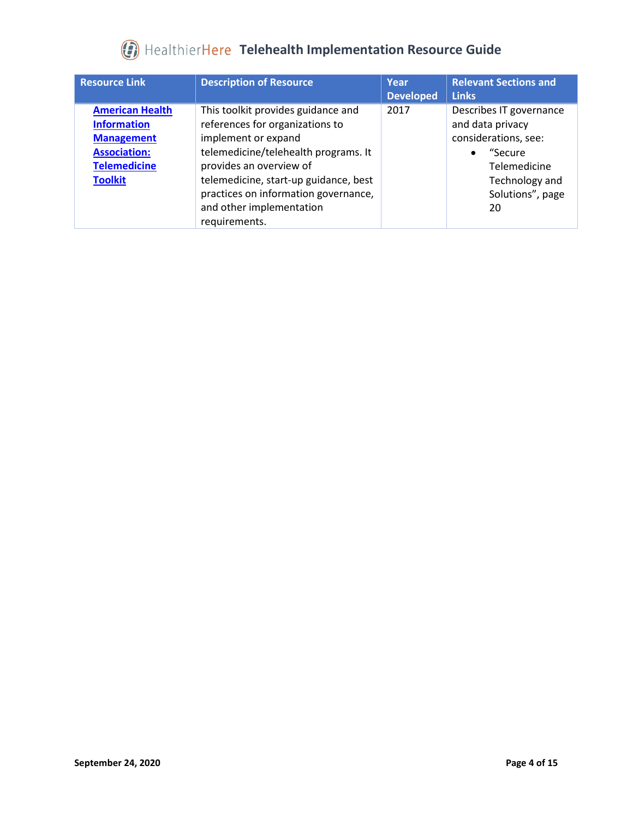| <b>Resource Link</b>                                                                                                              | <b>Description of Resource</b>                                                                                                                                                                                                                                                                | Year<br><b>Developed</b> | <b>Relevant Sections and</b><br><b>Links</b>                                                                                                             |
|-----------------------------------------------------------------------------------------------------------------------------------|-----------------------------------------------------------------------------------------------------------------------------------------------------------------------------------------------------------------------------------------------------------------------------------------------|--------------------------|----------------------------------------------------------------------------------------------------------------------------------------------------------|
| <b>American Health</b><br><b>Information</b><br><b>Management</b><br><b>Association:</b><br><b>Telemedicine</b><br><b>Toolkit</b> | This toolkit provides guidance and<br>references for organizations to<br>implement or expand<br>telemedicine/telehealth programs. It<br>provides an overview of<br>telemedicine, start-up guidance, best<br>practices on information governance,<br>and other implementation<br>requirements. | 2017                     | Describes IT governance<br>and data privacy<br>considerations, see:<br>"Secure"<br>$\bullet$<br>Telemedicine<br>Technology and<br>Solutions", page<br>20 |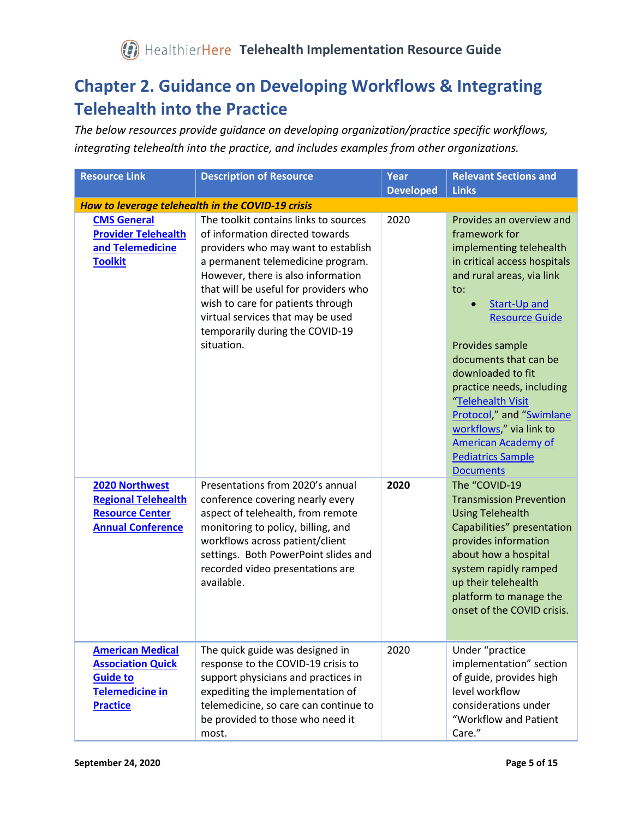#### <span id="page-4-0"></span>**Chapter 2. Guidance on Developing Workflows & Integrating Telehealth into the Practice**

*The below resources provide guidance on developing organization/practice specific workflows, integrating telehealth into the practice, and includes examples from other organizations.*

| <b>Resource Link</b>                                                                                                | <b>Description of Resource</b>                                                                                                                                                                                                                                                                                                                                 | Year<br><b>Developed</b> | <b>Relevant Sections and</b><br><b>Links</b>                                                                                                                                                                                                                                                                                                                                                                                              |
|---------------------------------------------------------------------------------------------------------------------|----------------------------------------------------------------------------------------------------------------------------------------------------------------------------------------------------------------------------------------------------------------------------------------------------------------------------------------------------------------|--------------------------|-------------------------------------------------------------------------------------------------------------------------------------------------------------------------------------------------------------------------------------------------------------------------------------------------------------------------------------------------------------------------------------------------------------------------------------------|
|                                                                                                                     | How to leverage telehealth in the COVID-19 crisis                                                                                                                                                                                                                                                                                                              |                          |                                                                                                                                                                                                                                                                                                                                                                                                                                           |
| <b>CMS General</b><br><b>Provider Telehealth</b><br>and Telemedicine<br><b>Toolkit</b>                              | The toolkit contains links to sources<br>of information directed towards<br>providers who may want to establish<br>a permanent telemedicine program.<br>However, there is also information<br>that will be useful for providers who<br>wish to care for patients through<br>virtual services that may be used<br>temporarily during the COVID-19<br>situation. | 2020                     | Provides an overview and<br>framework for<br>implementing telehealth<br>in critical access hospitals<br>and rural areas, via link<br>to:<br>Start-Up and<br><b>Resource Guide</b><br>Provides sample<br>documents that can be<br>downloaded to fit<br>practice needs, including<br>"Telehealth Visit<br>Protocol," and "Swimlane<br>workflows," via link to<br><b>American Academy of</b><br><b>Pediatrics Sample</b><br><b>Documents</b> |
| 2020 Northwest<br><b>Regional Telehealth</b><br><b>Resource Center</b><br><b>Annual Conference</b>                  | Presentations from 2020's annual<br>conference covering nearly every<br>aspect of telehealth, from remote<br>monitoring to policy, billing, and<br>workflows across patient/client<br>settings. Both PowerPoint slides and<br>recorded video presentations are<br>available.                                                                                   | 2020                     | The "COVID-19<br><b>Transmission Prevention</b><br><b>Using Telehealth</b><br>Capabilities" presentation<br>provides information<br>about how a hospital<br>system rapidly ramped<br>up their telehealth<br>platform to manage the<br>onset of the COVID crisis.                                                                                                                                                                          |
| <b>American Medical</b><br><b>Association Quick</b><br><b>Guide to</b><br><b>Telemedicine in</b><br><b>Practice</b> | The quick guide was designed in<br>response to the COVID-19 crisis to<br>support physicians and practices in<br>expediting the implementation of<br>telemedicine, so care can continue to<br>be provided to those who need it<br>most.                                                                                                                         | 2020                     | Under "practice<br>implementation" section<br>of guide, provides high<br>level workflow<br>considerations under<br>"Workflow and Patient<br>Care."                                                                                                                                                                                                                                                                                        |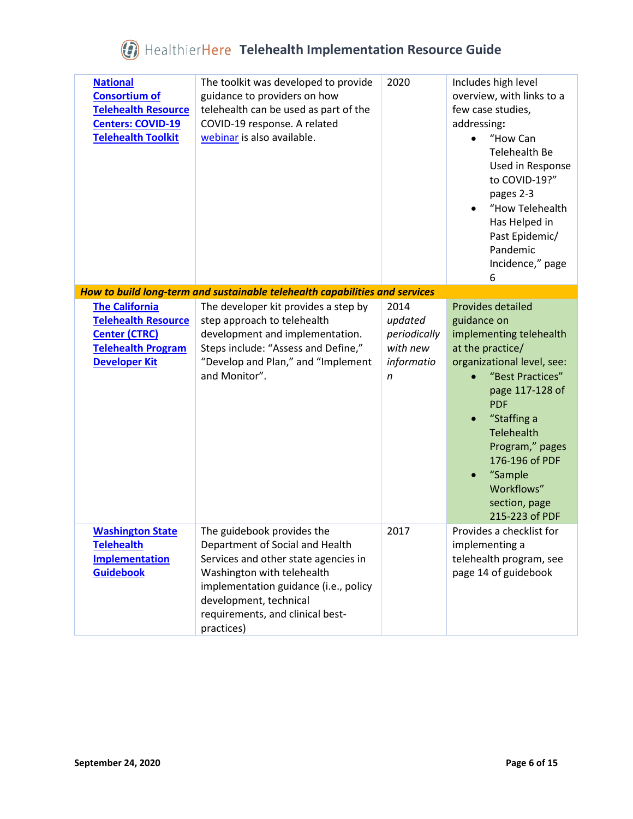| <b>National</b><br><b>Consortium of</b><br><b>Telehealth Resource</b><br><b>Centers: COVID-19</b><br><b>Telehealth Toolkit</b>   | The toolkit was developed to provide<br>guidance to providers on how<br>telehealth can be used as part of the<br>COVID-19 response. A related<br>webinar is also available.                                                                              | 2020                                                           | Includes high level<br>overview, with links to a<br>few case studies,<br>addressing:<br>"How Can<br>$\bullet$<br>Telehealth Be<br>Used in Response<br>to COVID-19?"<br>pages 2-3<br>"How Telehealth<br>$\bullet$<br>Has Helped in<br>Past Epidemic/<br>Pandemic<br>Incidence," page<br>6                |
|----------------------------------------------------------------------------------------------------------------------------------|----------------------------------------------------------------------------------------------------------------------------------------------------------------------------------------------------------------------------------------------------------|----------------------------------------------------------------|---------------------------------------------------------------------------------------------------------------------------------------------------------------------------------------------------------------------------------------------------------------------------------------------------------|
|                                                                                                                                  | How to build long-term and sustainable telehealth capabilities and services                                                                                                                                                                              |                                                                |                                                                                                                                                                                                                                                                                                         |
| <b>The California</b><br><b>Telehealth Resource</b><br><b>Center (CTRC)</b><br><b>Telehealth Program</b><br><b>Developer Kit</b> | The developer kit provides a step by<br>step approach to telehealth<br>development and implementation.<br>Steps include: "Assess and Define,"<br>"Develop and Plan," and "Implement<br>and Monitor".                                                     | 2014<br>updated<br>periodically<br>with new<br>informatio<br>n | <b>Provides detailed</b><br>guidance on<br>implementing telehealth<br>at the practice/<br>organizational level, see:<br>"Best Practices"<br>page 117-128 of<br><b>PDF</b><br>"Staffing a<br>Telehealth<br>Program," pages<br>176-196 of PDF<br>"Sample<br>Workflows"<br>section, page<br>215-223 of PDF |
| <b>Washington State</b><br>Telehealth<br><b>Implementation</b><br><b>Guidebook</b>                                               | The guidebook provides the<br>Department of Social and Health<br>Services and other state agencies in<br>Washington with telehealth<br>implementation guidance (i.e., policy<br>development, technical<br>requirements, and clinical best-<br>practices) | 2017                                                           | Provides a checklist for<br>implementing a<br>telehealth program, see<br>page 14 of guidebook                                                                                                                                                                                                           |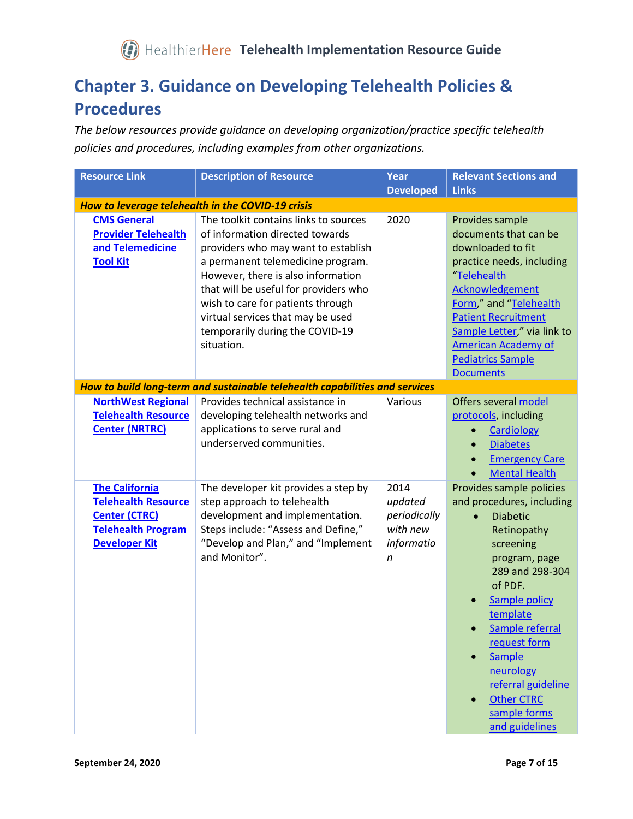#### <span id="page-6-0"></span>**Chapter 3. Guidance on Developing Telehealth Policies & Procedures**

*The below resources provide guidance on developing organization/practice specific telehealth policies and procedures, including examples from other organizations.* 

| <b>Resource Link</b>                                                                                                             | <b>Description of Resource</b>                                                                                                                                                                                                                                                                                                                                 | Year                                                           | <b>Relevant Sections and</b>                                                                                                                                                                                                                                                                                                   |
|----------------------------------------------------------------------------------------------------------------------------------|----------------------------------------------------------------------------------------------------------------------------------------------------------------------------------------------------------------------------------------------------------------------------------------------------------------------------------------------------------------|----------------------------------------------------------------|--------------------------------------------------------------------------------------------------------------------------------------------------------------------------------------------------------------------------------------------------------------------------------------------------------------------------------|
|                                                                                                                                  |                                                                                                                                                                                                                                                                                                                                                                | <b>Developed</b>                                               | <b>Links</b>                                                                                                                                                                                                                                                                                                                   |
|                                                                                                                                  | How to leverage telehealth in the COVID-19 crisis                                                                                                                                                                                                                                                                                                              |                                                                |                                                                                                                                                                                                                                                                                                                                |
| <b>CMS General</b><br><b>Provider Telehealth</b><br>and Telemedicine<br><b>Tool Kit</b>                                          | The toolkit contains links to sources<br>of information directed towards<br>providers who may want to establish<br>a permanent telemedicine program.<br>However, there is also information<br>that will be useful for providers who<br>wish to care for patients through<br>virtual services that may be used<br>temporarily during the COVID-19<br>situation. | 2020                                                           | Provides sample<br>documents that can be<br>downloaded to fit<br>practice needs, including<br>"Telehealth<br>Acknowledgement<br>Form," and "Telehealth<br><b>Patient Recruitment</b><br>Sample Letter," via link to<br><b>American Academy of</b><br><b>Pediatrics Sample</b><br><b>Documents</b>                              |
|                                                                                                                                  | How to build long-term and sustainable telehealth capabilities and services                                                                                                                                                                                                                                                                                    |                                                                |                                                                                                                                                                                                                                                                                                                                |
| <b>NorthWest Regional</b><br><b>Telehealth Resource</b><br><b>Center (NRTRC)</b>                                                 | Provides technical assistance in<br>developing telehealth networks and<br>applications to serve rural and<br>underserved communities.                                                                                                                                                                                                                          | Various                                                        | Offers several model<br>protocols, including<br>Cardiology<br>$\bullet$<br><b>Diabetes</b><br>$\bullet$<br><b>Emergency Care</b><br><b>Mental Health</b>                                                                                                                                                                       |
| <b>The California</b><br><b>Telehealth Resource</b><br><b>Center (CTRC)</b><br><b>Telehealth Program</b><br><b>Developer Kit</b> | The developer kit provides a step by<br>step approach to telehealth<br>development and implementation.<br>Steps include: "Assess and Define,"<br>"Develop and Plan," and "Implement<br>and Monitor".                                                                                                                                                           | 2014<br>updated<br>periodically<br>with new<br>informatio<br>n | Provides sample policies<br>and procedures, including<br><b>Diabetic</b><br>Retinopathy<br>screening<br>program, page<br>289 and 298-304<br>of PDF.<br><b>Sample policy</b><br>template<br>Sample referral<br>request form<br>Sample<br>neurology<br>referral guideline<br><b>Other CTRC</b><br>sample forms<br>and guidelines |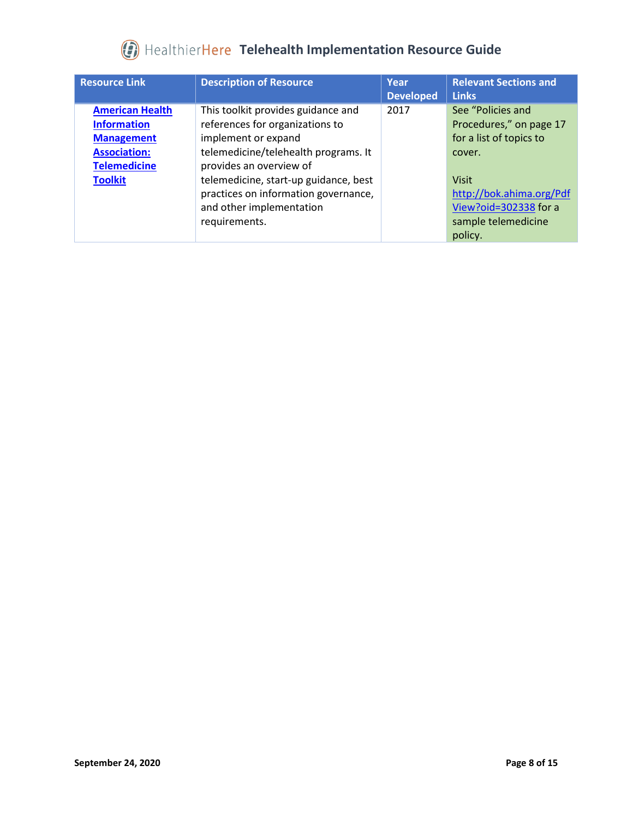| <b>Resource Link</b>                                                                                                              | <b>Description of Resource</b>                                                                                                                                                                                                                                                                | Year<br><b>Developed</b> | <b>Relevant Sections and</b><br><b>Links</b>                                                                                                                                             |
|-----------------------------------------------------------------------------------------------------------------------------------|-----------------------------------------------------------------------------------------------------------------------------------------------------------------------------------------------------------------------------------------------------------------------------------------------|--------------------------|------------------------------------------------------------------------------------------------------------------------------------------------------------------------------------------|
| <b>American Health</b><br><b>Information</b><br><b>Management</b><br><b>Association:</b><br><b>Telemedicine</b><br><b>Toolkit</b> | This toolkit provides guidance and<br>references for organizations to<br>implement or expand<br>telemedicine/telehealth programs. It<br>provides an overview of<br>telemedicine, start-up guidance, best<br>practices on information governance,<br>and other implementation<br>requirements. | 2017                     | See "Policies and<br>Procedures," on page 17<br>for a list of topics to<br>cover.<br><b>Visit</b><br>http://bok.ahima.org/Pdf<br>View?oid=302338 for a<br>sample telemedicine<br>policy. |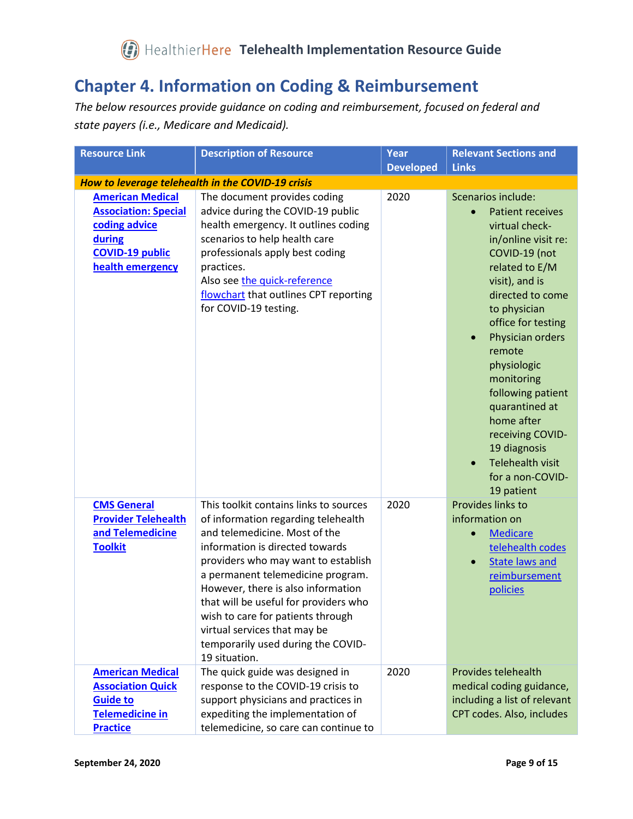#### <span id="page-8-0"></span>**Chapter 4. Information on Coding & Reimbursement**

*The below resources provide guidance on coding and reimbursement, focused on federal and state payers (i.e., Medicare and Medicaid).*

| <b>Resource Link</b>                                                                                                            | <b>Description of Resource</b>                                                                                                                                                                                                                                                                                                                                                                                                           | <b>Year</b><br><b>Developed</b> | <b>Relevant Sections and</b><br><b>Links</b>                                                                                                                                                                                                                                                                                                                                                                                                     |
|---------------------------------------------------------------------------------------------------------------------------------|------------------------------------------------------------------------------------------------------------------------------------------------------------------------------------------------------------------------------------------------------------------------------------------------------------------------------------------------------------------------------------------------------------------------------------------|---------------------------------|--------------------------------------------------------------------------------------------------------------------------------------------------------------------------------------------------------------------------------------------------------------------------------------------------------------------------------------------------------------------------------------------------------------------------------------------------|
|                                                                                                                                 | How to leverage telehealth in the COVID-19 crisis                                                                                                                                                                                                                                                                                                                                                                                        |                                 |                                                                                                                                                                                                                                                                                                                                                                                                                                                  |
| <b>American Medical</b><br><b>Association: Special</b><br>coding advice<br>during<br><b>COVID-19 public</b><br>health emergency | The document provides coding<br>advice during the COVID-19 public<br>health emergency. It outlines coding<br>scenarios to help health care<br>professionals apply best coding<br>practices.<br>Also see the quick-reference<br>flowchart that outlines CPT reporting<br>for COVID-19 testing.                                                                                                                                            | 2020                            | Scenarios include:<br><b>Patient receives</b><br>$\bullet$<br>virtual check-<br>in/online visit re:<br>COVID-19 (not<br>related to E/M<br>visit), and is<br>directed to come<br>to physician<br>office for testing<br>Physician orders<br>$\bullet$<br>remote<br>physiologic<br>monitoring<br>following patient<br>quarantined at<br>home after<br>receiving COVID-<br>19 diagnosis<br><b>Telehealth visit</b><br>for a non-COVID-<br>19 patient |
| <b>CMS General</b><br><b>Provider Telehealth</b><br>and Telemedicine<br><b>Toolkit</b>                                          | This toolkit contains links to sources<br>of information regarding telehealth<br>and telemedicine. Most of the<br>information is directed towards<br>providers who may want to establish<br>a permanent telemedicine program.<br>However, there is also information<br>that will be useful for providers who<br>wish to care for patients through<br>virtual services that may be<br>temporarily used during the COVID-<br>19 situation. | 2020                            | Provides links to<br>information on<br><b>Medicare</b><br>$\bullet$<br>telehealth codes<br><b>State laws and</b><br>reimbursement<br>policies                                                                                                                                                                                                                                                                                                    |
| <b>American Medical</b><br><b>Association Quick</b><br><b>Guide to</b><br><b>Telemedicine in</b><br><b>Practice</b>             | The quick guide was designed in<br>response to the COVID-19 crisis to<br>support physicians and practices in<br>expediting the implementation of<br>telemedicine, so care can continue to                                                                                                                                                                                                                                                | 2020                            | Provides telehealth<br>medical coding guidance,<br>including a list of relevant<br>CPT codes. Also, includes                                                                                                                                                                                                                                                                                                                                     |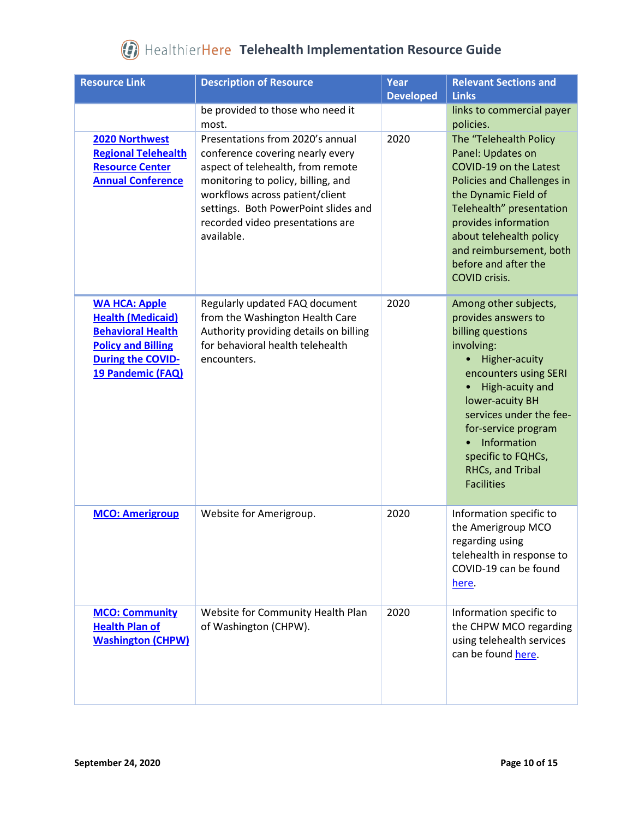| <b>Resource Link</b>                                                                                                                                       | <b>Description of Resource</b>                                                                                                                                                                                                                                               | Year<br><b>Developed</b> | <b>Relevant Sections and</b><br><b>Links</b>                                                                                                                                                                                                                                                    |
|------------------------------------------------------------------------------------------------------------------------------------------------------------|------------------------------------------------------------------------------------------------------------------------------------------------------------------------------------------------------------------------------------------------------------------------------|--------------------------|-------------------------------------------------------------------------------------------------------------------------------------------------------------------------------------------------------------------------------------------------------------------------------------------------|
|                                                                                                                                                            | be provided to those who need it<br>most.                                                                                                                                                                                                                                    |                          | links to commercial payer<br>policies.                                                                                                                                                                                                                                                          |
| 2020 Northwest<br><b>Regional Telehealth</b><br><b>Resource Center</b><br><b>Annual Conference</b>                                                         | Presentations from 2020's annual<br>conference covering nearly every<br>aspect of telehealth, from remote<br>monitoring to policy, billing, and<br>workflows across patient/client<br>settings. Both PowerPoint slides and<br>recorded video presentations are<br>available. | 2020                     | The "Telehealth Policy<br>Panel: Updates on<br>COVID-19 on the Latest<br>Policies and Challenges in<br>the Dynamic Field of<br>Telehealth" presentation<br>provides information<br>about telehealth policy<br>and reimbursement, both<br>before and after the<br>COVID crisis.                  |
| <b>WA HCA: Apple</b><br><b>Health (Medicaid)</b><br><b>Behavioral Health</b><br><b>Policy and Billing</b><br><b>During the COVID-</b><br>19 Pandemic (FAQ) | Regularly updated FAQ document<br>from the Washington Health Care<br>Authority providing details on billing<br>for behavioral health telehealth<br>encounters.                                                                                                               | 2020                     | Among other subjects,<br>provides answers to<br>billing questions<br>involving:<br>Higher-acuity<br>encounters using SERI<br>High-acuity and<br>lower-acuity BH<br>services under the fee-<br>for-service program<br>Information<br>specific to FQHCs,<br>RHCs, and Tribal<br><b>Facilities</b> |
| <b>MCO: Amerigroup</b>                                                                                                                                     | Website for Amerigroup.                                                                                                                                                                                                                                                      | 2020                     | Information specific to<br>the Amerigroup MCO<br>regarding using<br>telehealth in response to<br>COVID-19 can be found<br>here.                                                                                                                                                                 |
| <b>MCO: Community</b><br><b>Health Plan of</b><br><b>Washington (CHPW)</b>                                                                                 | Website for Community Health Plan<br>of Washington (CHPW).                                                                                                                                                                                                                   | 2020                     | Information specific to<br>the CHPW MCO regarding<br>using telehealth services<br>can be found here.                                                                                                                                                                                            |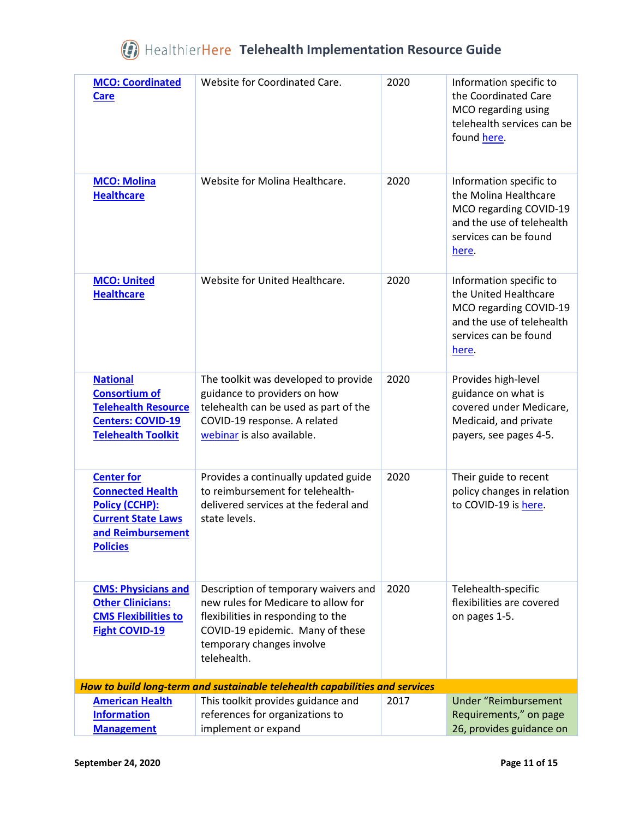| <b>MCO: Coordinated</b><br><b>Care</b>                                                                                              | Website for Coordinated Care.                                                                                                                                                                     | 2020 | Information specific to<br>the Coordinated Care<br>MCO regarding using<br>telehealth services can be<br>found here.                       |
|-------------------------------------------------------------------------------------------------------------------------------------|---------------------------------------------------------------------------------------------------------------------------------------------------------------------------------------------------|------|-------------------------------------------------------------------------------------------------------------------------------------------|
| <b>MCO: Molina</b><br><b>Healthcare</b>                                                                                             | Website for Molina Healthcare.                                                                                                                                                                    | 2020 | Information specific to<br>the Molina Healthcare<br>MCO regarding COVID-19<br>and the use of telehealth<br>services can be found<br>here. |
| <b>MCO: United</b><br><b>Healthcare</b>                                                                                             | Website for United Healthcare.                                                                                                                                                                    | 2020 | Information specific to<br>the United Healthcare<br>MCO regarding COVID-19<br>and the use of telehealth<br>services can be found<br>here. |
| <b>National</b><br><b>Consortium of</b><br><b>Telehealth Resource</b><br><b>Centers: COVID-19</b><br><b>Telehealth Toolkit</b>      | The toolkit was developed to provide<br>guidance to providers on how<br>telehealth can be used as part of the<br>COVID-19 response. A related<br>webinar is also available.                       | 2020 | Provides high-level<br>guidance on what is<br>covered under Medicare,<br>Medicaid, and private<br>payers, see pages 4-5.                  |
| <b>Center for</b><br><b>Connected Health</b><br>Policy (CCHP):<br><b>Current State Laws</b><br>and Reimbursement<br><b>Policies</b> | Provides a continually updated guide<br>to reimbursement for telehealth-<br>delivered services at the federal and<br>state levels.                                                                | 2020 | Their guide to recent<br>policy changes in relation<br>to COVID-19 is here.                                                               |
| <b>CMS: Physicians and</b><br><b>Other Clinicians:</b><br><b>CMS Flexibilities to</b><br><b>Fight COVID-19</b>                      | Description of temporary waivers and<br>new rules for Medicare to allow for<br>flexibilities in responding to the<br>COVID-19 epidemic. Many of these<br>temporary changes involve<br>telehealth. | 2020 | Telehealth-specific<br>flexibilities are covered<br>on pages 1-5.                                                                         |
|                                                                                                                                     | How to build long-term and sustainable telehealth capabilities and services                                                                                                                       |      |                                                                                                                                           |
| <b>American Health</b><br><b>Information</b><br><b>Management</b>                                                                   | This toolkit provides guidance and<br>references for organizations to<br>implement or expand                                                                                                      | 2017 | <b>Under "Reimbursement</b><br>Requirements," on page<br>26, provides guidance on                                                         |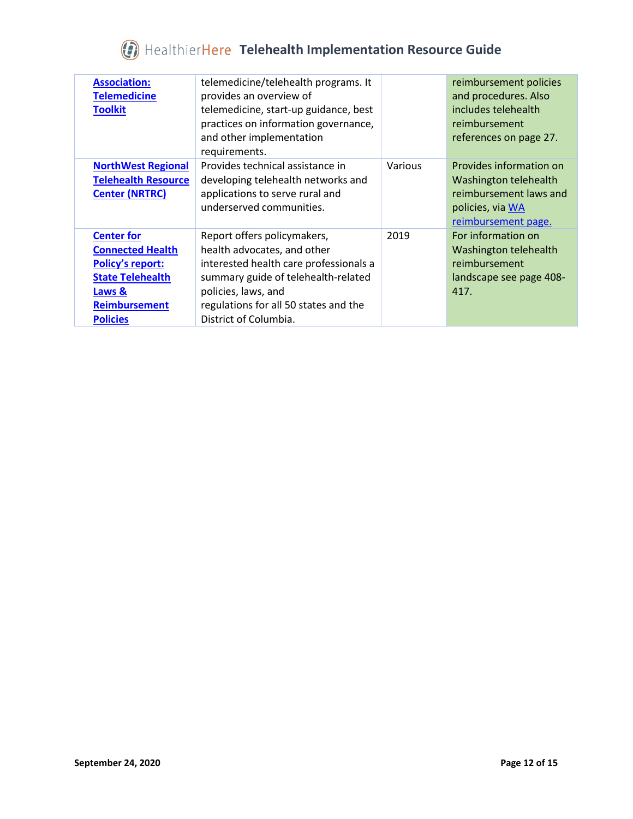| <b>Association:</b><br><b>Telemedicine</b><br><b>Toolkit</b>                                                                                            | telemedicine/telehealth programs. It<br>provides an overview of<br>telemedicine, start-up guidance, best<br>practices on information governance,<br>and other implementation<br>requirements.                                        |         | reimbursement policies<br>and procedures. Also<br>includes telehealth<br>reimbursement<br>references on page 27.      |
|---------------------------------------------------------------------------------------------------------------------------------------------------------|--------------------------------------------------------------------------------------------------------------------------------------------------------------------------------------------------------------------------------------|---------|-----------------------------------------------------------------------------------------------------------------------|
| <b>NorthWest Regional</b><br><b>Telehealth Resource</b><br><b>Center (NRTRC)</b>                                                                        | Provides technical assistance in<br>developing telehealth networks and<br>applications to serve rural and<br>underserved communities.                                                                                                | Various | Provides information on<br>Washington telehealth<br>reimbursement laws and<br>policies, via WA<br>reimbursement page. |
| <b>Center for</b><br><b>Connected Health</b><br><b>Policy's report:</b><br><b>State Telehealth</b><br>Laws &<br><b>Reimbursement</b><br><b>Policies</b> | Report offers policymakers,<br>health advocates, and other<br>interested health care professionals a<br>summary guide of telehealth-related<br>policies, laws, and<br>regulations for all 50 states and the<br>District of Columbia. | 2019    | For information on<br>Washington telehealth<br>reimbursement<br>landscape see page 408-<br>417.                       |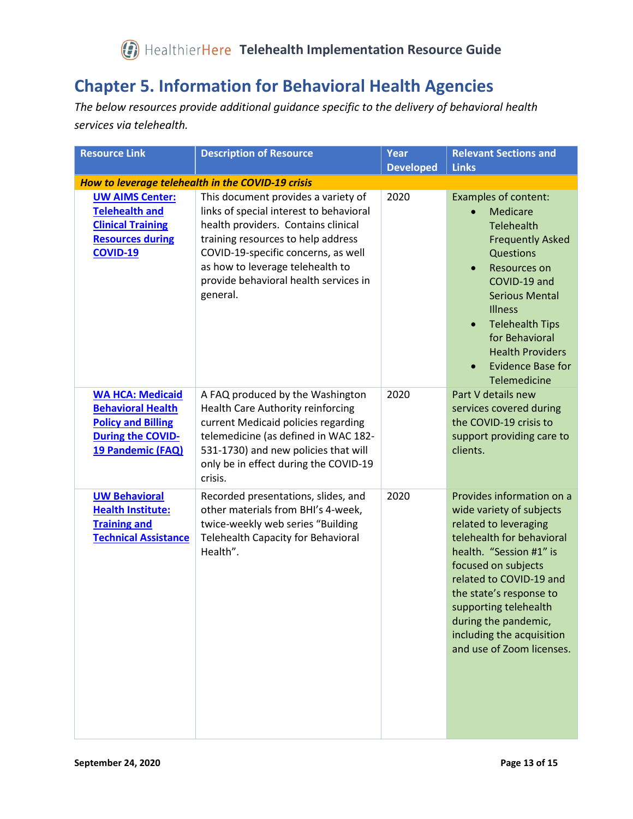#### <span id="page-12-0"></span>**Chapter 5. Information for Behavioral Health Agencies**

*The below resources provide additional guidance specific to the delivery of behavioral health services via telehealth.*

| <b>Resource Link</b>                                                                                                              | <b>Description of Resource</b>                                                                                                                                                                                                                                                              | Year<br><b>Developed</b> | <b>Relevant Sections and</b><br><b>Links</b>                                                                                                                                                                                                                                                                                                    |  |  |  |
|-----------------------------------------------------------------------------------------------------------------------------------|---------------------------------------------------------------------------------------------------------------------------------------------------------------------------------------------------------------------------------------------------------------------------------------------|--------------------------|-------------------------------------------------------------------------------------------------------------------------------------------------------------------------------------------------------------------------------------------------------------------------------------------------------------------------------------------------|--|--|--|
| How to leverage telehealth in the COVID-19 crisis                                                                                 |                                                                                                                                                                                                                                                                                             |                          |                                                                                                                                                                                                                                                                                                                                                 |  |  |  |
| <b>UW AIMS Center:</b><br><b>Telehealth and</b><br><b>Clinical Training</b><br><b>Resources during</b><br><b>COVID-19</b>         | This document provides a variety of<br>links of special interest to behavioral<br>health providers. Contains clinical<br>training resources to help address<br>COVID-19-specific concerns, as well<br>as how to leverage telehealth to<br>provide behavioral health services in<br>general. | 2020                     | Examples of content:<br>Medicare<br>$\bullet$<br>Telehealth<br><b>Frequently Asked</b><br>Questions<br><b>Resources on</b><br>$\bullet$<br>COVID-19 and<br><b>Serious Mental</b><br><b>Illness</b><br><b>Telehealth Tips</b><br>$\bullet$<br>for Behavioral<br><b>Health Providers</b><br><b>Evidence Base for</b><br>$\bullet$<br>Telemedicine |  |  |  |
| <b>WA HCA: Medicaid</b><br><b>Behavioral Health</b><br><b>Policy and Billing</b><br><b>During the COVID-</b><br>19 Pandemic (FAQ) | A FAQ produced by the Washington<br>Health Care Authority reinforcing<br>current Medicaid policies regarding<br>telemedicine (as defined in WAC 182-<br>531-1730) and new policies that will<br>only be in effect during the COVID-19<br>crisis.                                            | 2020                     | Part V details new<br>services covered during<br>the COVID-19 crisis to<br>support providing care to<br>clients.                                                                                                                                                                                                                                |  |  |  |
| <b>UW Behavioral</b><br><b>Health Institute:</b><br><b>Training and</b><br><b>Technical Assistance</b>                            | Recorded presentations, slides, and<br>other materials from BHI's 4-week,<br>twice-weekly web series "Building<br><b>Telehealth Capacity for Behavioral</b><br>Health".                                                                                                                     | 2020                     | Provides information on a<br>wide variety of subjects<br>related to leveraging<br>telehealth for behavioral<br>health. "Session #1" is<br>focused on subjects<br>related to COVID-19 and<br>the state's response to<br>supporting telehealth<br>during the pandemic,<br>including the acquisition<br>and use of Zoom licenses.                  |  |  |  |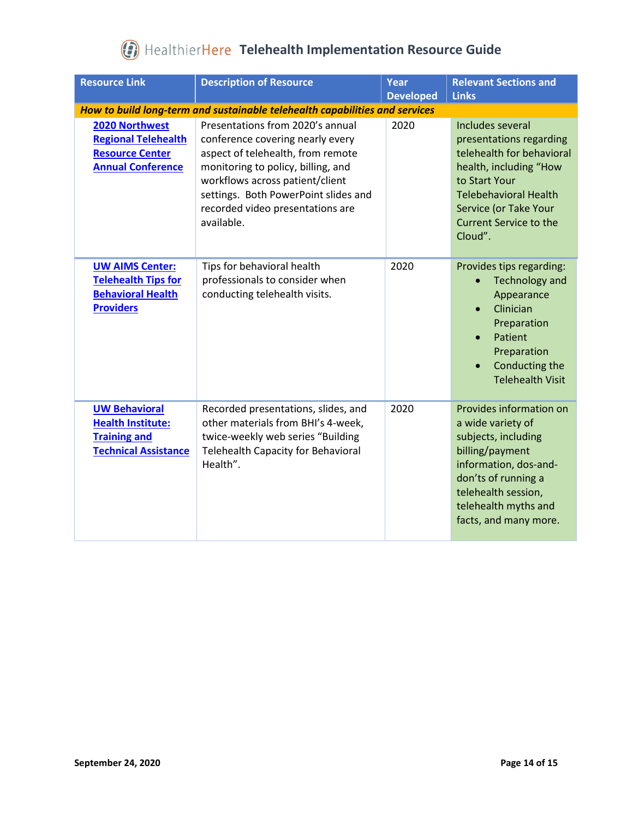| <b>Resource Link</b>                                                                                   | <b>Description of Resource</b>                                                                                                                                                                                                                                               | Year<br><b>Developed</b> | <b>Relevant Sections and</b><br><b>Links</b>                                                                                                                                                                             |  |  |  |
|--------------------------------------------------------------------------------------------------------|------------------------------------------------------------------------------------------------------------------------------------------------------------------------------------------------------------------------------------------------------------------------------|--------------------------|--------------------------------------------------------------------------------------------------------------------------------------------------------------------------------------------------------------------------|--|--|--|
| How to build long-term and sustainable telehealth capabilities and services                            |                                                                                                                                                                                                                                                                              |                          |                                                                                                                                                                                                                          |  |  |  |
| 2020 Northwest<br><b>Regional Telehealth</b><br><b>Resource Center</b><br><b>Annual Conference</b>     | Presentations from 2020's annual<br>conference covering nearly every<br>aspect of telehealth, from remote<br>monitoring to policy, billing, and<br>workflows across patient/client<br>settings. Both PowerPoint slides and<br>recorded video presentations are<br>available. | 2020                     | Includes several<br>presentations regarding<br>telehealth for behavioral<br>health, including "How<br>to Start Your<br><b>Telebehavioral Health</b><br>Service (or Take Your<br><b>Current Service to the</b><br>Cloud". |  |  |  |
| <b>UW AIMS Center:</b><br><b>Telehealth Tips for</b><br><b>Behavioral Health</b><br><b>Providers</b>   | Tips for behavioral health<br>professionals to consider when<br>conducting telehealth visits.                                                                                                                                                                                | 2020                     | Provides tips regarding:<br><b>Technology and</b><br>Appearance<br>Clinician<br>$\bullet$<br>Preparation<br>Patient<br>$\bullet$<br>Preparation<br>Conducting the<br>$\bullet$<br><b>Telehealth Visit</b>                |  |  |  |
| <b>UW Behavioral</b><br><b>Health Institute:</b><br><b>Training and</b><br><b>Technical Assistance</b> | Recorded presentations, slides, and<br>other materials from BHI's 4-week,<br>twice-weekly web series "Building<br><b>Telehealth Capacity for Behavioral</b><br>Health".                                                                                                      | 2020                     | Provides information on<br>a wide variety of<br>subjects, including<br>billing/payment<br>information, dos-and-<br>don'ts of running a<br>telehealth session,<br>telehealth myths and<br>facts, and many more.           |  |  |  |